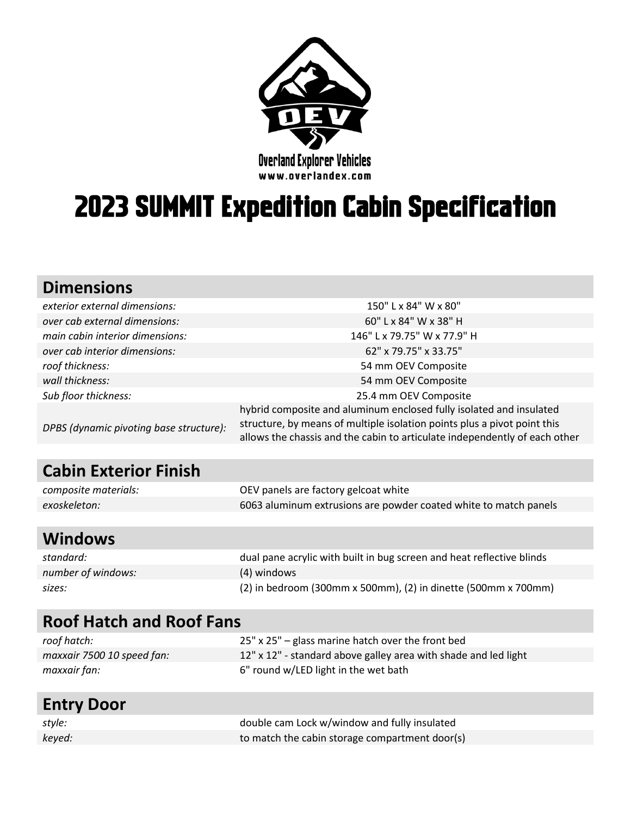

# **Dverland Explorer Vehicles**<br> **2023 SUMMIT Expedition Cabin Specification**

# **Dimensions**

| exterior external dimensions:           | 150" L x 84" W x 80"                                                                                                                                                                                                          |
|-----------------------------------------|-------------------------------------------------------------------------------------------------------------------------------------------------------------------------------------------------------------------------------|
| over cab external dimensions:           | 60" L x 84" W x 38" H                                                                                                                                                                                                         |
| main cabin interior dimensions:         | 146" L x 79.75" W x 77.9" H                                                                                                                                                                                                   |
| over cab interior dimensions:           | 62" x 79.75" x 33.75"                                                                                                                                                                                                         |
| roof thickness:                         | 54 mm OEV Composite                                                                                                                                                                                                           |
| wall thickness:                         | 54 mm OEV Composite                                                                                                                                                                                                           |
| Sub floor thickness:                    | 25.4 mm OEV Composite                                                                                                                                                                                                         |
| DPBS (dynamic pivoting base structure): | hybrid composite and aluminum enclosed fully isolated and insulated<br>structure, by means of multiple isolation points plus a pivot point this<br>allows the chassis and the cabin to articulate independently of each other |

# **Cabin Exterior Finish**

| composite materials: | OEV panels are factory gelcoat white                             |
|----------------------|------------------------------------------------------------------|
| exoskeleton:         | 6063 aluminum extrusions are powder coated white to match panels |

#### **Windows**

| standard:          | dual pane acrylic with built in bug screen and heat reflective blinds |
|--------------------|-----------------------------------------------------------------------|
| number of windows: | (4) windows                                                           |
| sizes:             | $(2)$ in bedroom (300mm x 500mm), $(2)$ in dinette (500mm x 700mm)    |

| <b>Roof Hatch and Roof Fans</b> |                                                                 |
|---------------------------------|-----------------------------------------------------------------|
| roof hatch:                     | 25" x 25" – glass marine hatch over the front bed               |
| maxxair 7500 10 speed fan:      | 12" x 12" - standard above galley area with shade and led light |
| maxxair fan:                    | 6" round w/LED light in the wet bath                            |
|                                 |                                                                 |

#### **Entry Door**

| style: | double cam Lock w/window and fully insulated   |
|--------|------------------------------------------------|
| keyed: | to match the cabin storage compartment door(s) |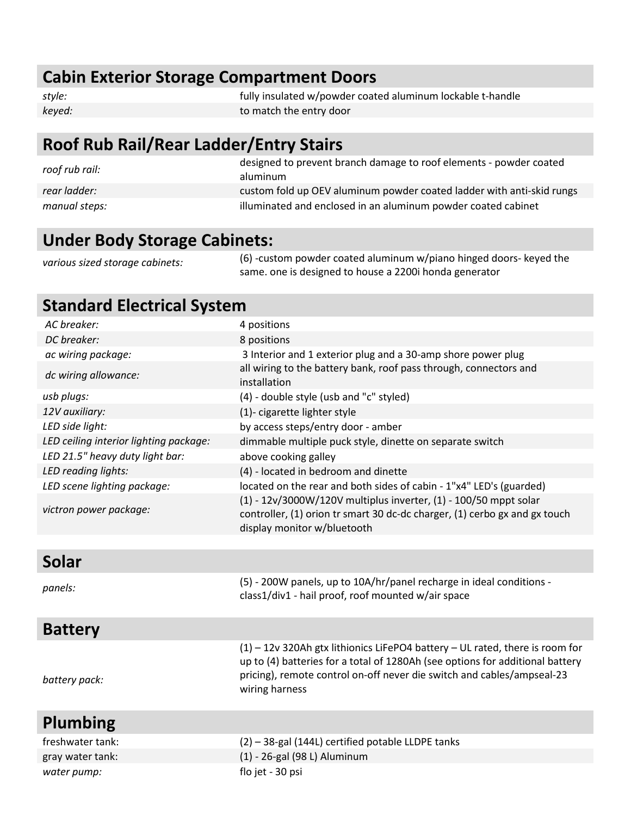# **Cabin Exterior Storage Compartment Doors**

| style: | fully insulated w/powder coated aluminum lockable t-handle |
|--------|------------------------------------------------------------|
| keyed: | to match the entry door                                    |

# **Roof Rub Rail/Rear Ladder/Entry Stairs**

| roof rub rail: | designed to prevent branch damage to roof elements - powder coated<br>aluminum |
|----------------|--------------------------------------------------------------------------------|
| rear ladder:   | custom fold up OEV aluminum powder coated ladder with anti-skid rungs          |
| manual steps:  | illuminated and enclosed in an aluminum powder coated cabinet                  |

#### **Under Body Storage Cabinets:**

*battery pack:*

*various sized storage cabinets:* (6) -custom powder coated aluminum w/piano hinged doors- keyed the same. one is designed to house a 2200i honda generator

## **Standard Electrical System**

| AC breaker:                            | 4 positions                                                                                                                                                                       |
|----------------------------------------|-----------------------------------------------------------------------------------------------------------------------------------------------------------------------------------|
| DC breaker:                            | 8 positions                                                                                                                                                                       |
| ac wiring package:                     | 3 Interior and 1 exterior plug and a 30-amp shore power plug                                                                                                                      |
| dc wiring allowance:                   | all wiring to the battery bank, roof pass through, connectors and<br>installation                                                                                                 |
| usb plugs:                             | (4) - double style (usb and "c" styled)                                                                                                                                           |
| 12V auxiliary:                         | (1)- cigarette lighter style                                                                                                                                                      |
| LED side light:                        | by access steps/entry door - amber                                                                                                                                                |
| LED ceiling interior lighting package: | dimmable multiple puck style, dinette on separate switch                                                                                                                          |
| LED 21.5" heavy duty light bar:        | above cooking galley                                                                                                                                                              |
| LED reading lights:                    | (4) - located in bedroom and dinette                                                                                                                                              |
| LED scene lighting package:            | located on the rear and both sides of cabin - 1"x4" LED's (guarded)                                                                                                               |
| victron power package:                 | $(1) - 12v/3000W/120V$ multiplus inverter, $(1) - 100/50$ mppt solar<br>controller, (1) orion tr smart 30 dc-dc charger, (1) cerbo gx and gx touch<br>display monitor w/bluetooth |
|                                        |                                                                                                                                                                                   |
| <b>Solar</b>                           |                                                                                                                                                                                   |
| panels:                                | (5) - 200W panels, up to 10A/hr/panel recharge in ideal conditions -<br>class1/div1 - hail proof, roof mounted w/air space                                                        |
| <b>Battery</b>                         |                                                                                                                                                                                   |

| $(1)$ – 12v 320Ah gtx lithionics LiFePO4 battery – UL rated, there is room for<br>up to (4) batteries for a total of 1280Ah (see options for additional battery<br>pricing), remote control on-off never die switch and cables/ampseal-23<br>wiring harness |
|-------------------------------------------------------------------------------------------------------------------------------------------------------------------------------------------------------------------------------------------------------------|
|-------------------------------------------------------------------------------------------------------------------------------------------------------------------------------------------------------------------------------------------------------------|

#### **Plumbing** freshwater tank: (2) – 38-gal (144L) certified potable LLDPE tanks gray water tank: (1) - 26-gal (98 L) Aluminum *water pump:* flo jet - 30 psi